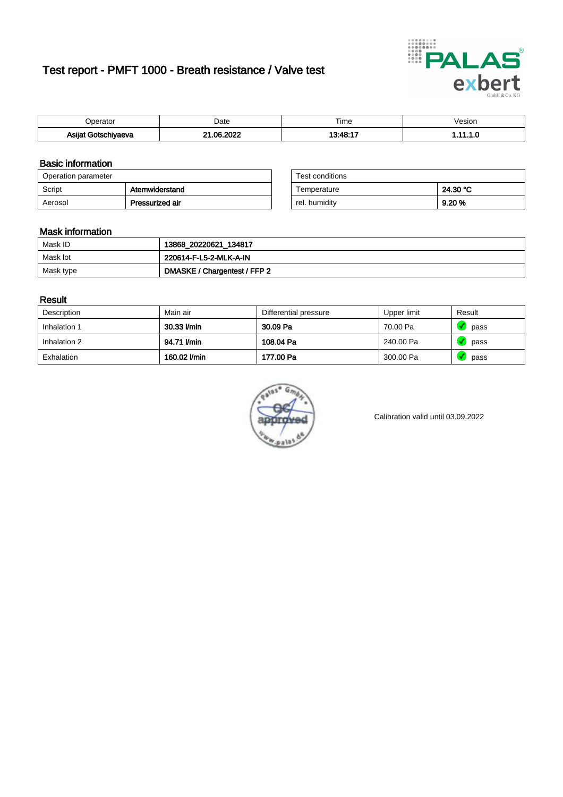# Test report - PMFT 1000 - Breath resistance / Valve test



| )perator            | Date                  | $- \cdot$<br>Гіmе | /esion |
|---------------------|-----------------------|-------------------|--------|
| Asijat Gotschiyaeva | . റ്റെ ററററ<br>ີ<br>w | 12.18.17          | .      |

### Basic information

| Operation parameter |                 | Test conditions |          |
|---------------------|-----------------|-----------------|----------|
| Script              | Atemwiderstand  | Temperature     | 24.30 °C |
| Aerosol             | Pressurized air | rel. humidity   | 9.20%    |

| Test conditions |          |
|-----------------|----------|
| Temperature     | 24.30 °C |
| rel. humidity   | 9.20%    |

#### Mask information

| Mask ID   | 13868_20220621_134817        |
|-----------|------------------------------|
| Mask lot  | 220614-F-L5-2-MLK-A-IN       |
| Mask type | DMASKE / Chargentest / FFP 2 |

### Result

| Description  | Main air     | Differential pressure | Upper limit | Result |
|--------------|--------------|-----------------------|-------------|--------|
| Inhalation 1 | 30.33 l/min  | 30.09 Pa              | 70.00 Pa    | pass   |
| Inhalation 2 | 94.71 l/min  | 108.04 Pa             | 240.00 Pa   | pass   |
| Exhalation   | 160.02 l/min | 177.00 Pa             | 300.00 Pa   | pass   |



Calibration valid until 03.09.2022